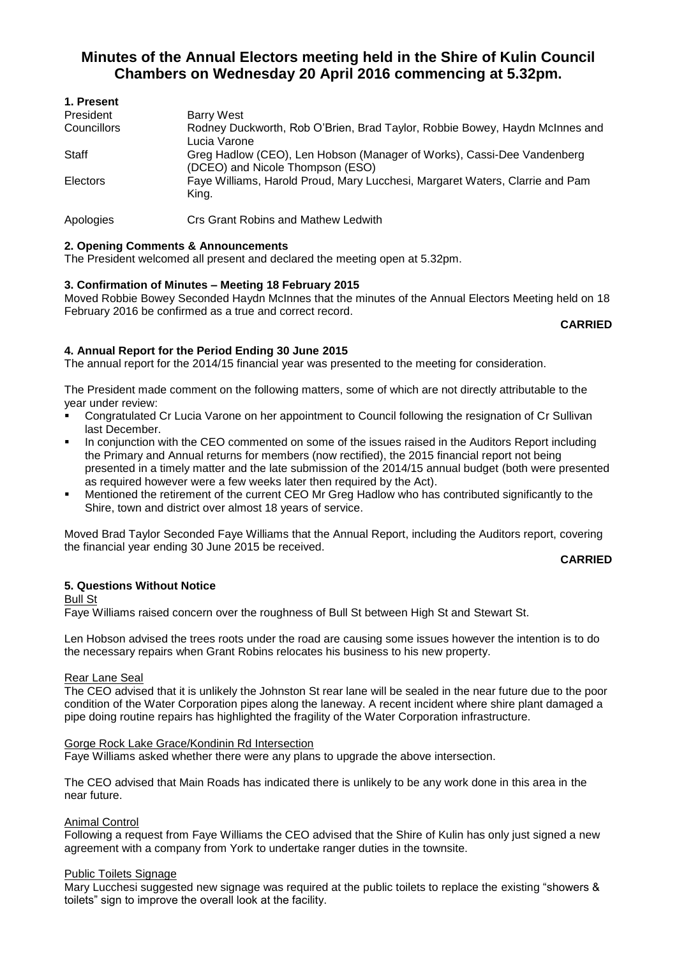# **Minutes of the Annual Electors meeting held in the Shire of Kulin Council Chambers on Wednesday 20 April 2016 commencing at 5.32pm.**

| 1. Present  |                                                                                                            |
|-------------|------------------------------------------------------------------------------------------------------------|
| President   | Barry West                                                                                                 |
| Councillors | Rodney Duckworth, Rob O'Brien, Brad Taylor, Robbie Bowey, Haydn McInnes and<br>Lucia Varone                |
| Staff       | Greg Hadlow (CEO), Len Hobson (Manager of Works), Cassi-Dee Vandenberg<br>(DCEO) and Nicole Thompson (ESO) |
| Electors    | Faye Williams, Harold Proud, Mary Lucchesi, Margaret Waters, Clarrie and Pam<br>King.                      |
| Apologies   | Crs Grant Robins and Mathew Ledwith                                                                        |

# **2. Opening Comments & Announcements**

The President welcomed all present and declared the meeting open at 5.32pm.

# **3. Confirmation of Minutes – Meeting 18 February 2015**

Moved Robbie Bowey Seconded Haydn McInnes that the minutes of the Annual Electors Meeting held on 18 February 2016 be confirmed as a true and correct record.

#### **CARRIED**

# **4. Annual Report for the Period Ending 30 June 2015**

The annual report for the 2014/15 financial year was presented to the meeting for consideration.

The President made comment on the following matters, some of which are not directly attributable to the year under review:

- Congratulated Cr Lucia Varone on her appointment to Council following the resignation of Cr Sullivan last December.
- In conjunction with the CEO commented on some of the issues raised in the Auditors Report including the Primary and Annual returns for members (now rectified), the 2015 financial report not being presented in a timely matter and the late submission of the 2014/15 annual budget (both were presented as required however were a few weeks later then required by the Act).
- Mentioned the retirement of the current CEO Mr Greg Hadlow who has contributed significantly to the Shire, town and district over almost 18 years of service.

Moved Brad Taylor Seconded Faye Williams that the Annual Report, including the Auditors report, covering the financial year ending 30 June 2015 be received.

#### **CARRIED**

# **5. Questions Without Notice**

Bull St

Faye Williams raised concern over the roughness of Bull St between High St and Stewart St.

Len Hobson advised the trees roots under the road are causing some issues however the intention is to do the necessary repairs when Grant Robins relocates his business to his new property.

#### Rear Lane Seal

The CEO advised that it is unlikely the Johnston St rear lane will be sealed in the near future due to the poor condition of the Water Corporation pipes along the laneway. A recent incident where shire plant damaged a pipe doing routine repairs has highlighted the fragility of the Water Corporation infrastructure.

#### Gorge Rock Lake Grace/Kondinin Rd Intersection

Faye Williams asked whether there were any plans to upgrade the above intersection.

The CEO advised that Main Roads has indicated there is unlikely to be any work done in this area in the near future.

# Animal Control

Following a request from Faye Williams the CEO advised that the Shire of Kulin has only just signed a new agreement with a company from York to undertake ranger duties in the townsite.

#### Public Toilets Signage

Mary Lucchesi suggested new signage was required at the public toilets to replace the existing "showers & toilets" sign to improve the overall look at the facility.